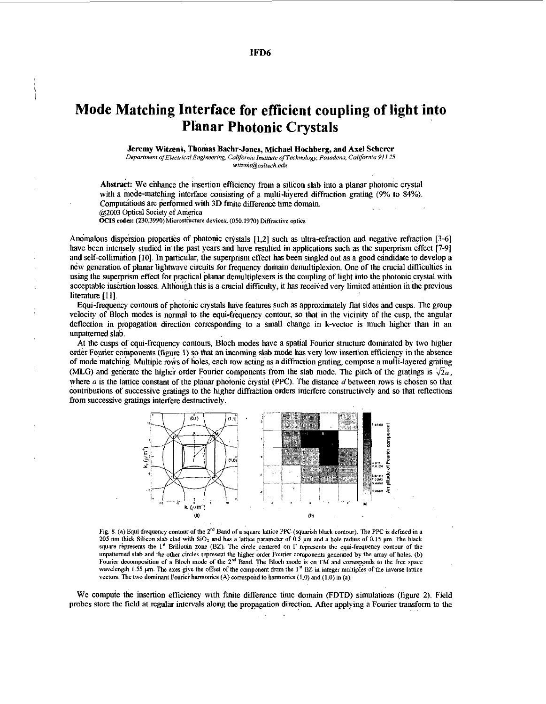## **IFD6**

## **Mode Matching Interface for efficient coupling of light into Planar Photonic Crystals**

## **Jeremy Witzens, Thomas Baehr-Jones, Michael Hochberg, and Axel Scherer**

*Department ~fEf~errico1E"~i"~~lneenng. Coliforni~* **hmmte** *of Techmba, Pasodeno, Colffornia 911 25*   $w$ itzens@caltech.edu

Abstract: We enhance the insertion efficiency from a silicon slab into a planar photonic crystal with a mode-matching interface consisting of a multi-layered diffraction grating (9% to **84%).**  Computations are performed with 3D finite difference time domain. **@IN3** Optical Society of **America** ..

**OCIS codes:** (230.3990) Microstructure devices; (050.1970) Diffractive optics

Anomalous dispersion properties of photonic crystals [1,2] such as ultra-refraction and negative refraction [3-6] have been intensely studied in'the past years and have resulted in applications such **as** the superprism effect **[7-9]**  and self-collimation [10]. In particular, the superprism effect has been singled out as a good candidate to develop a new generation of planar lightwave circuits for frequency domain demultiplexion. One of the crucial difficulties in using the superprism effect for practical planar demultiplexers is the coupling of light into the photonic crystal with acceptable insertion losses. Although this is a crucial difficulty, it has received very limited attention in the previous literature [11].

Equi-frequency contours of photonic crystals have features such as approximately flat sides and cusps. The group velocity of Bloch modes is normal to the equi-frequency contour, so that in the vicinity of the cusp, the angular deflection in propagation direction corresponding to a small change in k-vector is much higher than in an unpatterned slab.

At the cusps of equi-frequency contours, Bloch modes have a spatial Fourier structure dominated by two higher order Fourier components (figure **1)** so that an incoming slab mode **has** very low insertion efficieny in the absence of mode matching. Multiple rows of holes, each **Tow** acting as a diffraction grating, compose a multi-layered grating (MLG) and generate the higher order Fourier components from the slab mode. The pitch of the gratings is  $\sqrt{2}a$ , where  $a$  is the lattice constant of the planar photonic crystal (PPC). The distance  $d$  between rows is chosen so that contributions of successive gratings to the higher diffraction orders interfere constructively and *so* that reflections from successive gratings interfere destructively.



Fig. 8. (a) Equi-frequency contour of the 2<sup>nd</sup> Band of a square lattice PPC (squarish black contour). The PPC is defined in a<br>205 nm thick Silicon slab clad with SiO<sub>2</sub> and has a lattice parameter of 0.5 µm and a hole ra 205 nm thick Silicon slab clad with SiO<sub>2</sub> and has a lattice parameter of 0.5 µm and a hole radius of 0.15 µm. The black square represents the 1<sup>\*</sup> Brillouin zone (BZ). The circle centered on  $\Gamma$  represents the equi-frequ **unpattemed slab and the other circles represent the higher order** Fourier **components generated by the array of holes.** (b) Fourier decomposition of a Bloch mode of the  $2^{nd}$  Band. The Bloch mode is on  $TM$  and corresponds to the free space<br>wavelength 1.55 µm. The axes give the offset of the component from the  $1^*$  BZ in integer multiples of **wavelength 1.55**  $\mu$ m. The axes give the offset of the component from the 1<sup> $\pi$ </sup> BZ in integer multiples of the inverse lattice vectors. The two dominant Fourier harmonics (A) correspond to harmonics (1,0) and (1,0) in

We compute the insertion efficiency with finite difference time domain (FDTD) simulations (figure 2). Field probes store the field at regular intervals along the propagation direction. After applying a Fourier **transform** to the